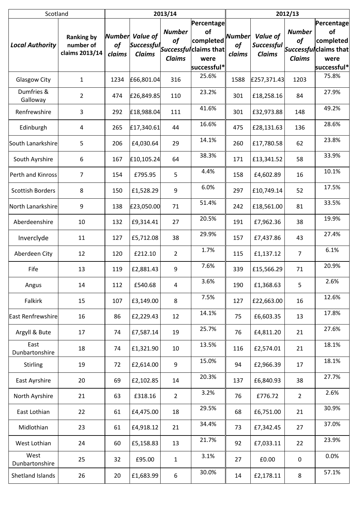| Scotland                |                                                  | 2013/14      |                                  |                                      |                                                                                                                                     | 2012/13                              |                                                |                                      |                                                                                |  |
|-------------------------|--------------------------------------------------|--------------|----------------------------------|--------------------------------------|-------------------------------------------------------------------------------------------------------------------------------------|--------------------------------------|------------------------------------------------|--------------------------------------|--------------------------------------------------------------------------------|--|
| <b>Local Authority</b>  | <b>Ranking by</b><br>number of<br>claims 2013/14 | of<br>claims | Number Value of<br><b>Claims</b> | <b>Number</b><br>of<br><b>Claims</b> | Percentage<br>of<br>completed<br>$\left \textit{Successful}\right $ Successful claims that $\left\  \right.$<br>were<br>successful* | <b>Number</b><br><b>of</b><br>claims | Value of<br><b>Successful</b><br><b>Claims</b> | <b>Number</b><br>of<br><b>Claims</b> | Percentage<br>of<br>completed<br>Successful claims that<br>were<br>successful* |  |
| <b>Glasgow City</b>     | $\mathbf 1$                                      | 1234         | £66,801.04                       | 316                                  | 25.6%                                                                                                                               | 1588                                 | £257,371.43                                    | 1203                                 | 75.8%                                                                          |  |
| Dumfries &<br>Galloway  | $\overline{2}$                                   | 474          | £26,849.85                       | 110                                  | 23.2%                                                                                                                               | 301                                  | £18,258.16                                     | 84                                   | 27.9%                                                                          |  |
| Renfrewshire            | 3                                                | 292          | £18,988.04                       | 111                                  | 41.6%                                                                                                                               | 301                                  | £32,973.88                                     | 148                                  | 49.2%                                                                          |  |
| Edinburgh               | 4                                                | 265          | £17,340.61                       | 44                                   | 16.6%                                                                                                                               | 475                                  | £28,131.63                                     | 136                                  | 28.6%                                                                          |  |
| South Lanarkshire       | 5                                                | 206          | £4,030.64                        | 29                                   | 14.1%                                                                                                                               | 260                                  | £17,780.58                                     | 62                                   | 23.8%                                                                          |  |
| South Ayrshire          | 6                                                | 167          | £10,105.24                       | 64                                   | 38.3%                                                                                                                               | 171                                  | £13,341.52                                     | 58                                   | 33.9%                                                                          |  |
| Perth and Kinross       | $\overline{7}$                                   | 154          | £795.95                          | 5                                    | 4.4%                                                                                                                                | 158                                  | £4,602.89                                      | 16                                   | 10.1%                                                                          |  |
| <b>Scottish Borders</b> | 8                                                | 150          | £1,528.29                        | 9                                    | 6.0%                                                                                                                                | 297                                  | £10,749.14                                     | 52                                   | 17.5%                                                                          |  |
| North Lanarkshire       | 9                                                | 138          | £23,050.00                       | 71                                   | 51.4%                                                                                                                               | 242                                  | £18,561.00                                     | 81                                   | 33.5%                                                                          |  |
| Aberdeenshire           | 10                                               | 132          | £9,314.41                        | 27                                   | 20.5%                                                                                                                               | 191                                  | £7,962.36                                      | 38                                   | 19.9%                                                                          |  |
| Inverclyde              | 11                                               | 127          | £5,712.08                        | 38                                   | 29.9%                                                                                                                               | 157                                  | £7,437.86                                      | 43                                   | 27.4%                                                                          |  |
| Aberdeen City           | 12                                               | 120          | £212.10                          | $\overline{2}$                       | 1.7%                                                                                                                                | 115                                  | £1,137.12                                      | $\overline{7}$                       | 6.1%                                                                           |  |
| Fife                    | 13                                               | 119          | £2,881.43                        | $9\,$                                | 7.6%                                                                                                                                | 339                                  | £15,566.29                                     | 71                                   | 20.9%                                                                          |  |
| Angus                   | 14                                               | 112          | £540.68                          | 4                                    | 3.6%                                                                                                                                | 190                                  | £1,368.63                                      | 5                                    | 2.6%                                                                           |  |
| Falkirk                 | 15                                               | 107          | £3,149.00                        | 8                                    | 7.5%                                                                                                                                | 127                                  | £22,663.00                                     | 16                                   | 12.6%                                                                          |  |
| East Renfrewshire       | 16                                               | 86           | £2,229.43                        | 12                                   | 14.1%                                                                                                                               | 75                                   | £6,603.35                                      | 13                                   | 17.8%                                                                          |  |
| Argyll & Bute           | 17                                               | 74           | £7,587.14                        | 19                                   | 25.7%                                                                                                                               | 76                                   | £4,811.20                                      | 21                                   | 27.6%                                                                          |  |
| East<br>Dunbartonshire  | 18                                               | 74           | £1,321.90                        | 10                                   | 13.5%                                                                                                                               | 116                                  | £2,574.01                                      | 21                                   | 18.1%                                                                          |  |
| <b>Stirling</b>         | 19                                               | 72           | £2,614.00                        | 9                                    | 15.0%                                                                                                                               | 94                                   | £2,966.39                                      | 17                                   | 18.1%                                                                          |  |
| East Ayrshire           | 20                                               | 69           | £2,102.85                        | 14                                   | 20.3%                                                                                                                               | 137                                  | £6,840.93                                      | 38                                   | 27.7%                                                                          |  |
| North Ayrshire          | 21                                               | 63           | £318.16                          | $\overline{2}$                       | 3.2%                                                                                                                                | 76                                   | £776.72                                        | $\overline{2}$                       | 2.6%                                                                           |  |
| East Lothian            | 22                                               | 61           | £4,475.00                        | 18                                   | 29.5%                                                                                                                               | 68                                   | £6,751.00                                      | 21                                   | 30.9%                                                                          |  |
| Midlothian              | 23                                               | 61           | £4,918.12                        | 21                                   | 34.4%                                                                                                                               | 73                                   | £7,342.45                                      | 27                                   | 37.0%                                                                          |  |
| West Lothian            | 24                                               | 60           | £5,158.83                        | 13                                   | 21.7%                                                                                                                               | 92                                   | £7,033.11                                      | 22                                   | 23.9%                                                                          |  |
| West<br>Dunbartonshire  | 25                                               | 32           | £95.00                           | $\mathbf{1}$                         | 3.1%                                                                                                                                | 27                                   | £0.00                                          | $\pmb{0}$                            | 0.0%                                                                           |  |
| Shetland Islands        | 26                                               | 20           | £1,683.99                        | 6                                    | 30.0%                                                                                                                               | 14                                   | £2,178.11                                      | 8                                    | 57.1%                                                                          |  |